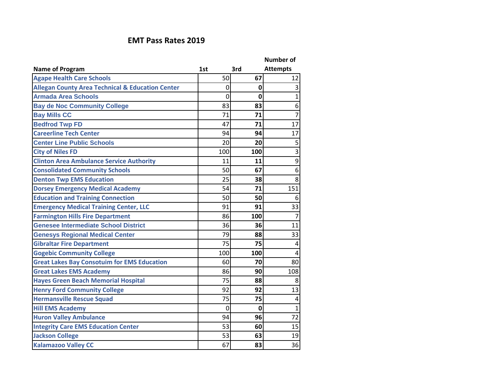## **EMT Pass Rates 2019**

|                                                             |              |             | <b>Number of</b> |
|-------------------------------------------------------------|--------------|-------------|------------------|
| <b>Name of Program</b>                                      | 1st          | 3rd         | <b>Attempts</b>  |
| <b>Agape Health Care Schools</b>                            | 50           | 67          | 12               |
| <b>Allegan County Area Technical &amp; Education Center</b> | $\mathbf{0}$ | 0           | 3                |
| <b>Armada Area Schools</b>                                  | 0            | $\mathbf 0$ | $\mathbf{1}$     |
| <b>Bay de Noc Community College</b>                         | 83           | 83          | 6 <sup>1</sup>   |
| <b>Bay Mills CC</b>                                         | 71           | 71          | $\overline{7}$   |
| <b>Bedfrod Twp FD</b>                                       | 47           | 71          | 17               |
| <b>Careerline Tech Center</b>                               | 94           | 94          | 17               |
| <b>Center Line Public Schools</b>                           | 20           | 20          | 5                |
| <b>City of Niles FD</b>                                     | 100          | 100         | $\overline{3}$   |
| <b>Clinton Area Ambulance Service Authority</b>             | 11           | 11          | $\mathsf{g}$     |
| <b>Consolidated Community Schools</b>                       | 50           | 67          | 6 <sup>1</sup>   |
| <b>Denton Twp EMS Education</b>                             | 25           | 38          | 8                |
| <b>Dorsey Emergency Medical Academy</b>                     | 54           | 71          | 151              |
| <b>Education and Training Connection</b>                    | 50           | 50          | 6                |
| <b>Emergency Medical Training Center, LLC</b>               | 91           | 91          | 33               |
| <b>Farmington Hills Fire Department</b>                     | 86           | 100         | $\overline{7}$   |
| <b>Genesee Intermediate School District</b>                 | 36           | 36          | 11               |
| <b>Genesys Regional Medical Center</b>                      | 79           | 88          | 33               |
| <b>Gibraltar Fire Department</b>                            | 75           | 75          | $\vert 4 \vert$  |
| <b>Gogebic Community College</b>                            | 100          | 100         | $\vert 4 \vert$  |
| <b>Great Lakes Bay Consotuim for EMS Education</b>          | 60           | 70          | 80               |
| <b>Great Lakes EMS Academy</b>                              | 86           | 90          | 108              |
| <b>Hayes Green Beach Memorial Hospital</b>                  | 75           | 88          | 8 <sup>°</sup>   |
| <b>Henry Ford Community College</b>                         | 92           | 92          | 13               |
| <b>Hermansville Rescue Squad</b>                            | 75           | 75          | $\vert 4 \vert$  |
| <b>Hill EMS Academy</b>                                     | 0            | $\mathbf 0$ | $\mathbf{1}$     |
| <b>Huron Valley Ambulance</b>                               | 94           | 96          | 72               |
| <b>Integrity Care EMS Education Center</b>                  | 53           | 60          | 15               |
| <b>Jackson College</b>                                      | 53           | 63          | 19               |
| <b>Kalamazoo Valley CC</b>                                  | 67           | 83          | 36               |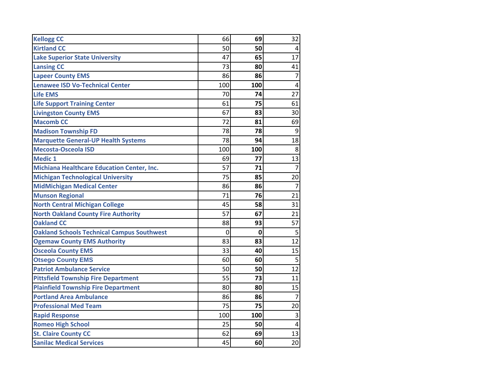| <b>Kellogg CC</b>                                 | 66  | 69  | 32             |
|---------------------------------------------------|-----|-----|----------------|
| <b>Kirtland CC</b>                                | 50  | 50  | 4              |
| <b>Lake Superior State University</b>             | 47  | 65  | 17             |
| <b>Lansing CC</b>                                 | 73  | 80  | 41             |
| <b>Lapeer County EMS</b>                          | 86  | 86  | 7              |
| <b>Lenawee ISD Vo-Technical Center</b>            | 100 | 100 | $\overline{4}$ |
| <b>Life EMS</b>                                   | 70  | 74  | 27             |
| <b>Life Support Training Center</b>               | 61  | 75  | 61             |
| <b>Livingston County EMS</b>                      | 67  | 83  | 30             |
| <b>Macomb CC</b>                                  | 72  | 81  | 69             |
| <b>Madison Township FD</b>                        | 78  | 78  | 9              |
| <b>Marquette General-UP Health Systems</b>        | 78  | 94  | 18             |
| <b>Mecosta-Osceola ISD</b>                        | 100 | 100 | 8              |
| <b>Medic 1</b>                                    | 69  | 77  | 13             |
| <b>Michiana Healthcare Education Center, Inc.</b> | 57  | 71  | $\overline{7}$ |
| <b>Michigan Technological University</b>          | 75  | 85  | 20             |
| <b>MidMichigan Medical Center</b>                 | 86  | 86  | 7              |
| <b>Munson Regional</b>                            | 71  | 76  | 21             |
| <b>North Central Michigan College</b>             | 45  | 58  | 31             |
| <b>North Oakland County Fire Authority</b>        | 57  | 67  | 21             |
| <b>Oakland CC</b>                                 | 88  | 93  | 57             |
| <b>Oakland Schools Technical Campus Southwest</b> | 0   | 0   | 5              |
| <b>Ogemaw County EMS Authority</b>                | 83  | 83  | 12             |
| <b>Osceola County EMS</b>                         | 33  | 40  | 15             |
| <b>Otsego County EMS</b>                          | 60  | 60  | 5              |
| <b>Patriot Ambulance Service</b>                  | 50  | 50  | 12             |
| <b>Pittsfield Township Fire Department</b>        | 55  | 73  | 11             |
| <b>Plainfield Township Fire Department</b>        | 80  | 80  | 15             |
| <b>Portland Area Ambulance</b>                    | 86  | 86  | $\overline{7}$ |
| <b>Professional Med Team</b>                      | 75  | 75  | 20             |
| <b>Rapid Response</b>                             | 100 | 100 | $\overline{3}$ |
| <b>Romeo High School</b>                          | 25  | 50  | 4              |
| <b>St. Claire County CC</b>                       | 62  | 69  | 13             |
| <b>Sanilac Medical Services</b>                   | 45  | 60  | 20             |